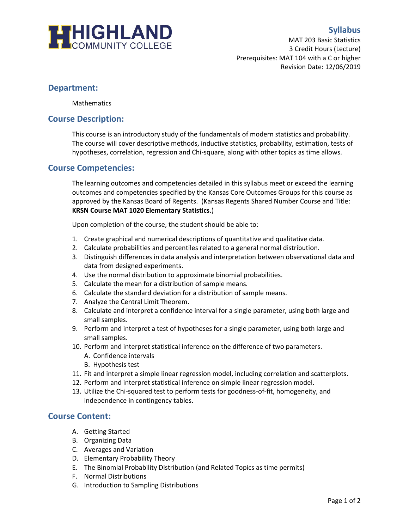

# **Syllabus**

MAT 203 Basic Statistics 3 Credit Hours (Lecture) Prerequisites: MAT 104 with a C or higher Revision Date: 12/06/2019

# **Department:**

**Mathematics** 

## **Course Description:**

This course is an introductory study of the fundamentals of modern statistics and probability. The course will cover descriptive methods, inductive statistics, probability, estimation, tests of hypotheses, correlation, regression and Chi-square, along with other topics as time allows.

# **Course Competencies:**

The learning outcomes and competencies detailed in this syllabus meet or exceed the learning outcomes and competencies specified by the Kansas Core Outcomes Groups for this course as approved by the Kansas Board of Regents. (Kansas Regents Shared Number Course and Title: **KRSN Course MAT 1020 Elementary Statistics**.)

Upon completion of the course, the student should be able to:

- 1. Create graphical and numerical descriptions of quantitative and qualitative data.
- 2. Calculate probabilities and percentiles related to a general normal distribution.
- 3. Distinguish differences in data analysis and interpretation between observational data and data from designed experiments.
- 4. Use the normal distribution to approximate binomial probabilities.
- 5. Calculate the mean for a distribution of sample means.
- 6. Calculate the standard deviation for a distribution of sample means.
- 7. Analyze the Central Limit Theorem.
- 8. Calculate and interpret a confidence interval for a single parameter, using both large and small samples.
- 9. Perform and interpret a test of hypotheses for a single parameter, using both large and small samples.
- 10. Perform and interpret statistical inference on the difference of two parameters.
	- A. Confidence intervals
	- B. Hypothesis test
- 11. Fit and interpret a simple linear regression model, including correlation and scatterplots.
- 12. Perform and interpret statistical inference on simple linear regression model.
- 13. Utilize the Chi-squared test to perform tests for goodness-of-fit, homogeneity, and independence in contingency tables.

## **Course Content:**

- A. Getting Started
- B. Organizing Data
- C. Averages and Variation
- D. Elementary Probability Theory
- E. The Binomial Probability Distribution (and Related Topics as time permits)
- F. Normal Distributions
- G. Introduction to Sampling Distributions